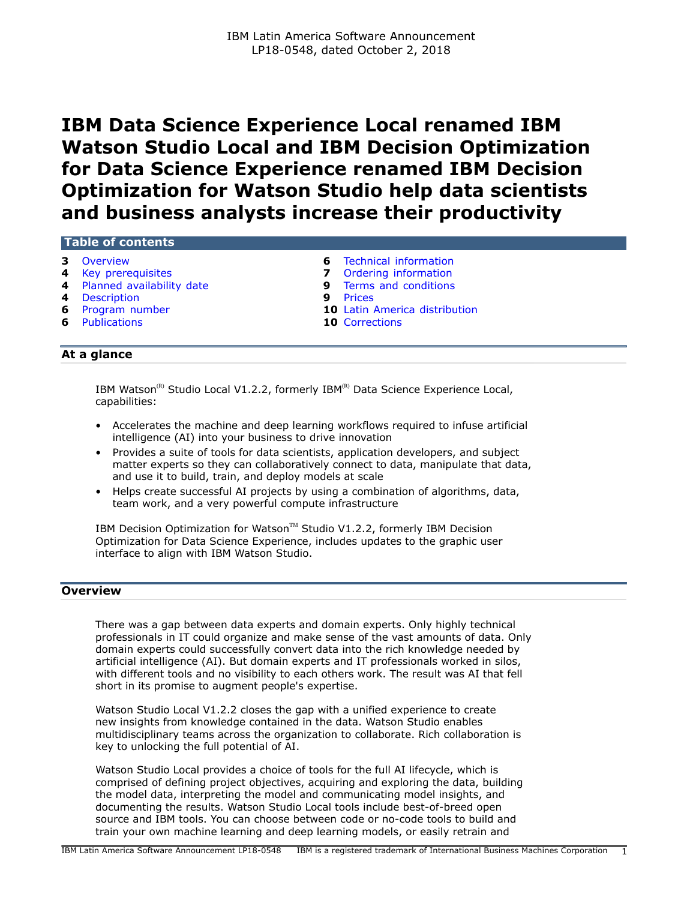# **IBM Data Science Experience Local renamed IBM Watson Studio Local and IBM Decision Optimization for Data Science Experience renamed IBM Decision Optimization for Watson Studio help data scientists and business analysts increase their productivity**

#### **Table of contents**

- 
- 
- **4** [Planned availability date](#page-3-1) **9** [Terms and conditions](#page-8-0)
- **4** [Description](#page-3-2) **9** [Prices](#page-8-1)
- 
- **6** [Publications](#page-5-2) **10** [Corrections](#page-9-1)
- **3** [Overview](#page-2-0) **6** [Technical information](#page-5-0)
- **4** [Key prerequisites](#page-3-0) **7** [Ordering information](#page-6-0)
	-
	-
- **6** [Program number](#page-5-1) **10** [Latin America distribution](#page-9-0)
	-

# **At a glance**

IBM Watson<sup>(R)</sup> Studio Local V1.2.2, formerly IBM<sup>(R)</sup> Data Science Experience Local, capabilities:

- Accelerates the machine and deep learning workflows required to infuse artificial intelligence (AI) into your business to drive innovation
- Provides a suite of tools for data scientists, application developers, and subject matter experts so they can collaboratively connect to data, manipulate that data, and use it to build, train, and deploy models at scale
- Helps create successful AI projects by using a combination of algorithms, data, team work, and a very powerful compute infrastructure

IBM Decision Optimization for Watson™ Studio V1.2.2, formerly IBM Decision Optimization for Data Science Experience, includes updates to the graphic user interface to align with IBM Watson Studio.

#### **Overview**

There was a gap between data experts and domain experts. Only highly technical professionals in IT could organize and make sense of the vast amounts of data. Only domain experts could successfully convert data into the rich knowledge needed by artificial intelligence (AI). But domain experts and IT professionals worked in silos, with different tools and no visibility to each others work. The result was AI that fell short in its promise to augment people's expertise.

Watson Studio Local V1.2.2 closes the gap with a unified experience to create new insights from knowledge contained in the data. Watson Studio enables multidisciplinary teams across the organization to collaborate. Rich collaboration is key to unlocking the full potential of AI.

Watson Studio Local provides a choice of tools for the full AI lifecycle, which is comprised of defining project objectives, acquiring and exploring the data, building the model data, interpreting the model and communicating model insights, and documenting the results. Watson Studio Local tools include best-of-breed open source and IBM tools. You can choose between code or no-code tools to build and train your own machine learning and deep learning models, or easily retrain and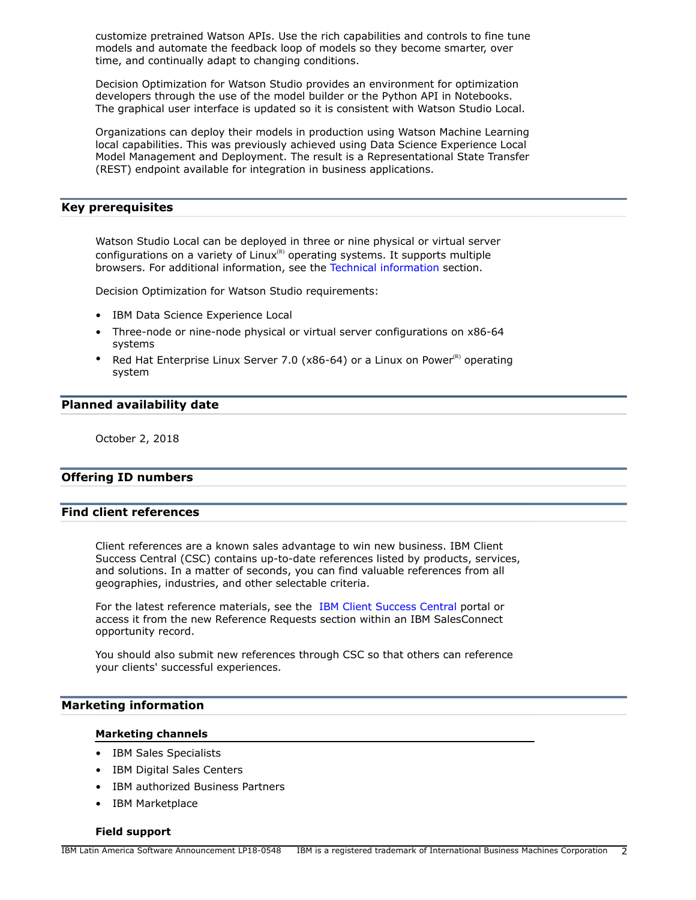customize pretrained Watson APIs. Use the rich capabilities and controls to fine tune models and automate the feedback loop of models so they become smarter, over time, and continually adapt to changing conditions.

Decision Optimization for Watson Studio provides an environment for optimization developers through the use of the model builder or the Python API in Notebooks. The graphical user interface is updated so it is consistent with Watson Studio Local.

Organizations can deploy their models in production using Watson Machine Learning local capabilities. This was previously achieved using Data Science Experience Local Model Management and Deployment. The result is a Representational State Transfer (REST) endpoint available for integration in business applications.

#### **Key prerequisites**

Watson Studio Local can be deployed in three or nine physical or virtual server configurations on a variety of  $Linux^{\scriptscriptstyle\text{\tiny{(R)}}}$  operating systems. It supports multiple browsers. For additional information, see the [Technical information](#page-5-0) section.

Decision Optimization for Watson Studio requirements:

- IBM Data Science Experience Local
- Three-node or nine-node physical or virtual server configurations on x86-64 systems
- Red Hat Enterprise Linux Server 7.0 (x86-64) or a Linux on Power<sup>(R)</sup> operating system

#### **Planned availability date**

October 2, 2018

# **Offering ID numbers**

# **Find client references**

Client references are a known sales advantage to win new business. IBM Client Success Central (CSC) contains up-to-date references listed by products, services, and solutions. In a matter of seconds, you can find valuable references from all geographies, industries, and other selectable criteria.

For the latest reference materials, see the [IBM Client Success Central](https://rv.roinnovation.com/IBM/HomeV3.aspx) portal or access it from the new Reference Requests section within an IBM SalesConnect opportunity record.

You should also submit new references through CSC so that others can reference your clients' successful experiences.

#### **Marketing information**

#### **Marketing channels**

- IBM Sales Specialists
- IBM Digital Sales Centers
- IBM authorized Business Partners
- IBM Marketplace

#### **Field support**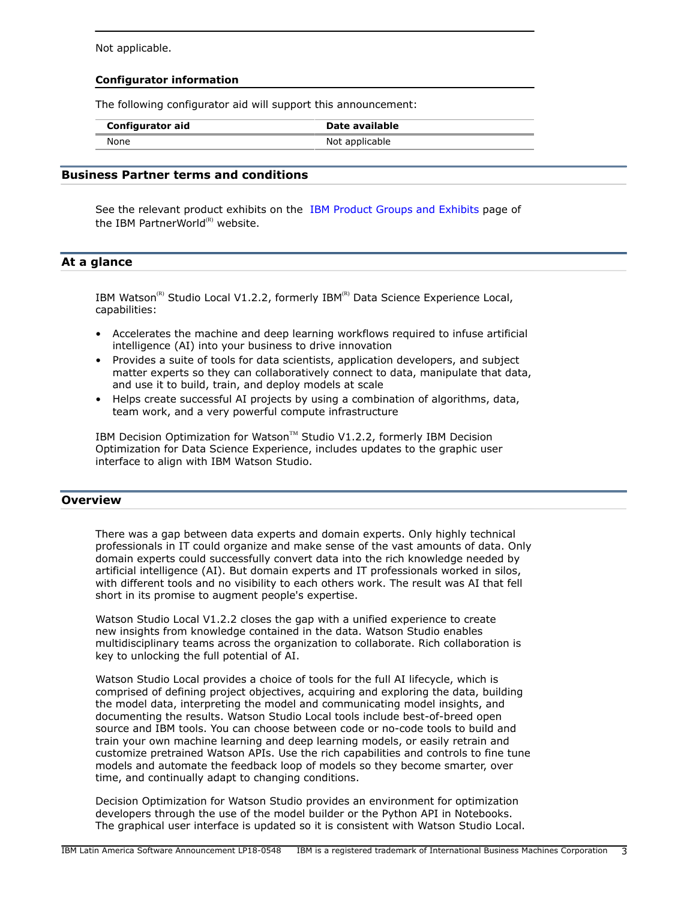Not applicable.

#### **Configurator information**

The following configurator aid will support this announcement:

| <b>Configurator aid</b> | Date available |
|-------------------------|----------------|
| None                    | Not applicable |

# **Business Partner terms and conditions**

See the relevant product exhibits on the [IBM Product Groups and Exhibits](https://www.ibm.com/partnerworld/page/partnerworld-exhibits) page of the IBM PartnerWorld $^{(R)}$  website.

# **At a glance**

IBM Watson<sup>(R)</sup> Studio Local V1.2.2, formerly IBM<sup>(R)</sup> Data Science Experience Local, capabilities:

- Accelerates the machine and deep learning workflows required to infuse artificial intelligence (AI) into your business to drive innovation
- Provides a suite of tools for data scientists, application developers, and subject matter experts so they can collaboratively connect to data, manipulate that data, and use it to build, train, and deploy models at scale
- Helps create successful AI projects by using a combination of algorithms, data, team work, and a very powerful compute infrastructure

IBM Decision Optimization for Watson™ Studio V1.2.2, formerly IBM Decision Optimization for Data Science Experience, includes updates to the graphic user interface to align with IBM Watson Studio.

# <span id="page-2-0"></span>**Overview**

There was a gap between data experts and domain experts. Only highly technical professionals in IT could organize and make sense of the vast amounts of data. Only domain experts could successfully convert data into the rich knowledge needed by artificial intelligence (AI). But domain experts and IT professionals worked in silos, with different tools and no visibility to each others work. The result was AI that fell short in its promise to augment people's expertise.

Watson Studio Local V1.2.2 closes the gap with a unified experience to create new insights from knowledge contained in the data. Watson Studio enables multidisciplinary teams across the organization to collaborate. Rich collaboration is key to unlocking the full potential of AI.

Watson Studio Local provides a choice of tools for the full AI lifecycle, which is comprised of defining project objectives, acquiring and exploring the data, building the model data, interpreting the model and communicating model insights, and documenting the results. Watson Studio Local tools include best-of-breed open source and IBM tools. You can choose between code or no-code tools to build and train your own machine learning and deep learning models, or easily retrain and customize pretrained Watson APIs. Use the rich capabilities and controls to fine tune models and automate the feedback loop of models so they become smarter, over time, and continually adapt to changing conditions.

Decision Optimization for Watson Studio provides an environment for optimization developers through the use of the model builder or the Python API in Notebooks. The graphical user interface is updated so it is consistent with Watson Studio Local.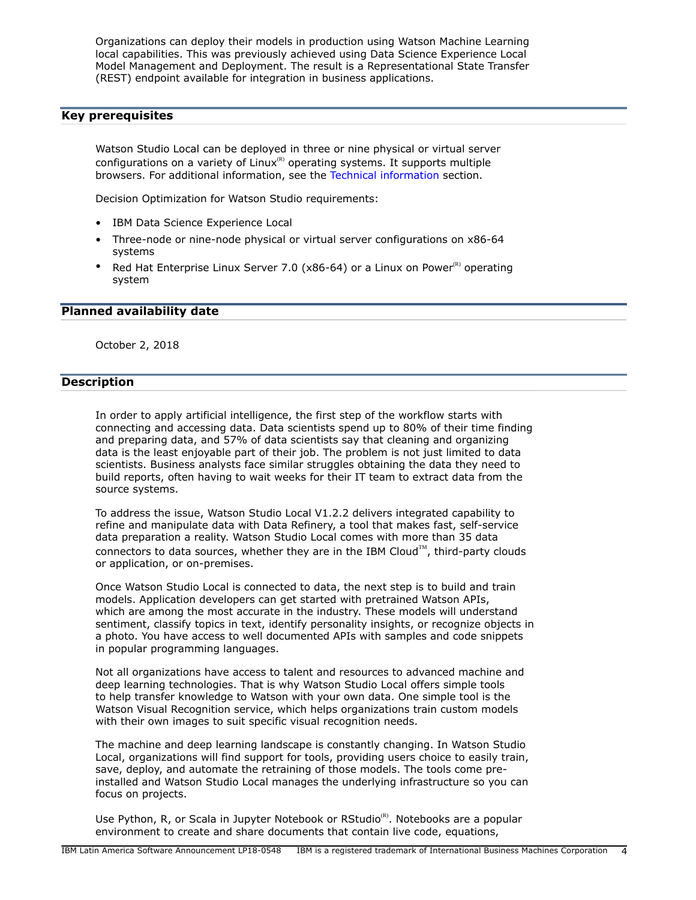Organizations can deploy their models in production using Watson Machine Learning local capabilities. This was previously achieved using Data Science Experience Local Model Management and Deployment. The result is a Representational State Transfer (REST) endpoint available for integration in business applications.

# <span id="page-3-0"></span>**Key prerequisites**

Watson Studio Local can be deployed in three or nine physical or virtual server configurations on a variety of  $Linux^{\scriptscriptstyle(R)}$  operating systems. It supports multiple browsers. For additional information, see the [Technical information](#page-5-0) section.

Decision Optimization for Watson Studio requirements:

- IBM Data Science Experience Local
- Three-node or nine-node physical or virtual server configurations on x86-64 systems
- Red Hat Enterprise Linux Server 7.0 (x86-64) or a Linux on Power $^{(R)}$  operating system

#### <span id="page-3-1"></span>**Planned availability date**

October 2, 2018

# <span id="page-3-2"></span>**Description**

In order to apply artificial intelligence, the first step of the workflow starts with connecting and accessing data. Data scientists spend up to 80% of their time finding and preparing data, and 57% of data scientists say that cleaning and organizing data is the least enjoyable part of their job. The problem is not just limited to data scientists. Business analysts face similar struggles obtaining the data they need to build reports, often having to wait weeks for their IT team to extract data from the source systems.

To address the issue, Watson Studio Local V1.2.2 delivers integrated capability to refine and manipulate data with Data Refinery, a tool that makes fast, self-service data preparation a reality. Watson Studio Local comes with more than 35 data connectors to data sources, whether they are in the IBM Cloud $\mathbb{M}$ , third-party clouds or application, or on-premises.

Once Watson Studio Local is connected to data, the next step is to build and train models. Application developers can get started with pretrained Watson APIs, which are among the most accurate in the industry. These models will understand sentiment, classify topics in text, identify personality insights, or recognize objects in a photo. You have access to well documented APIs with samples and code snippets in popular programming languages.

Not all organizations have access to talent and resources to advanced machine and deep learning technologies. That is why Watson Studio Local offers simple tools to help transfer knowledge to Watson with your own data. One simple tool is the Watson Visual Recognition service, which helps organizations train custom models with their own images to suit specific visual recognition needs.

The machine and deep learning landscape is constantly changing. In Watson Studio Local, organizations will find support for tools, providing users choice to easily train, save, deploy, and automate the retraining of those models. The tools come preinstalled and Watson Studio Local manages the underlying infrastructure so you can focus on projects.

Use Python, R, or Scala in Jupyter Notebook or RStudio $\mathbb{R}$ . Notebooks are a popular environment to create and share documents that contain live code, equations,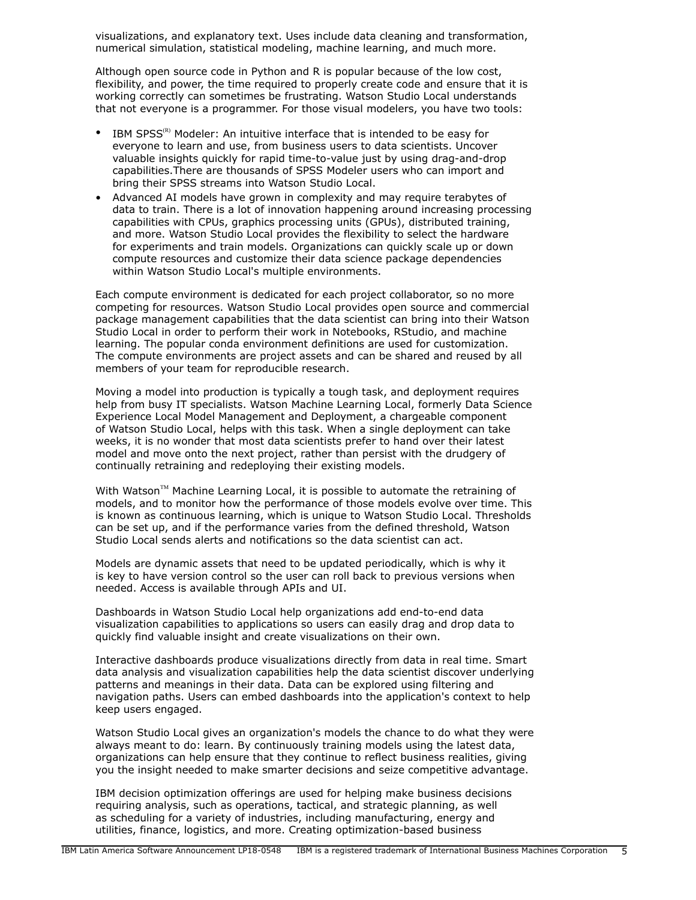visualizations, and explanatory text. Uses include data cleaning and transformation, numerical simulation, statistical modeling, machine learning, and much more.

Although open source code in Python and R is popular because of the low cost, flexibility, and power, the time required to properly create code and ensure that it is working correctly can sometimes be frustrating. Watson Studio Local understands that not everyone is a programmer. For those visual modelers, you have two tools:

- IBM SPSS<sup>(R)</sup> Modeler: An intuitive interface that is intended to be easy for everyone to learn and use, from business users to data scientists. Uncover valuable insights quickly for rapid time-to-value just by using drag-and-drop capabilities.There are thousands of SPSS Modeler users who can import and bring their SPSS streams into Watson Studio Local.
- Advanced AI models have grown in complexity and may require terabytes of data to train. There is a lot of innovation happening around increasing processing capabilities with CPUs, graphics processing units (GPUs), distributed training, and more. Watson Studio Local provides the flexibility to select the hardware for experiments and train models. Organizations can quickly scale up or down compute resources and customize their data science package dependencies within Watson Studio Local's multiple environments.

Each compute environment is dedicated for each project collaborator, so no more competing for resources. Watson Studio Local provides open source and commercial package management capabilities that the data scientist can bring into their Watson Studio Local in order to perform their work in Notebooks, RStudio, and machine learning. The popular conda environment definitions are used for customization. The compute environments are project assets and can be shared and reused by all members of your team for reproducible research.

Moving a model into production is typically a tough task, and deployment requires help from busy IT specialists. Watson Machine Learning Local, formerly Data Science Experience Local Model Management and Deployment, a chargeable component of Watson Studio Local, helps with this task. When a single deployment can take weeks, it is no wonder that most data scientists prefer to hand over their latest model and move onto the next project, rather than persist with the drudgery of continually retraining and redeploying their existing models.

With Watson™ Machine Learning Local, it is possible to automate the retraining of models, and to monitor how the performance of those models evolve over time. This is known as continuous learning, which is unique to Watson Studio Local. Thresholds can be set up, and if the performance varies from the defined threshold, Watson Studio Local sends alerts and notifications so the data scientist can act.

Models are dynamic assets that need to be updated periodically, which is why it is key to have version control so the user can roll back to previous versions when needed. Access is available through APIs and UI.

Dashboards in Watson Studio Local help organizations add end-to-end data visualization capabilities to applications so users can easily drag and drop data to quickly find valuable insight and create visualizations on their own.

Interactive dashboards produce visualizations directly from data in real time. Smart data analysis and visualization capabilities help the data scientist discover underlying patterns and meanings in their data. Data can be explored using filtering and navigation paths. Users can embed dashboards into the application's context to help keep users engaged.

Watson Studio Local gives an organization's models the chance to do what they were always meant to do: learn. By continuously training models using the latest data, organizations can help ensure that they continue to reflect business realities, giving you the insight needed to make smarter decisions and seize competitive advantage.

IBM decision optimization offerings are used for helping make business decisions requiring analysis, such as operations, tactical, and strategic planning, as well as scheduling for a variety of industries, including manufacturing, energy and utilities, finance, logistics, and more. Creating optimization-based business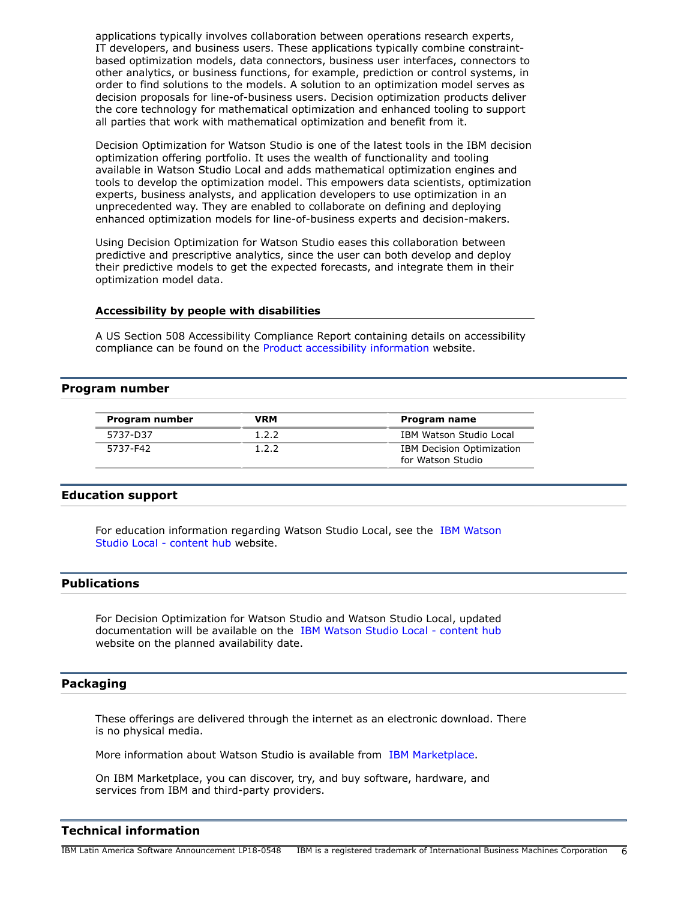applications typically involves collaboration between operations research experts, IT developers, and business users. These applications typically combine constraintbased optimization models, data connectors, business user interfaces, connectors to other analytics, or business functions, for example, prediction or control systems, in order to find solutions to the models. A solution to an optimization model serves as decision proposals for line-of-business users. Decision optimization products deliver the core technology for mathematical optimization and enhanced tooling to support all parties that work with mathematical optimization and benefit from it.

Decision Optimization for Watson Studio is one of the latest tools in the IBM decision optimization offering portfolio. It uses the wealth of functionality and tooling available in Watson Studio Local and adds mathematical optimization engines and tools to develop the optimization model. This empowers data scientists, optimization experts, business analysts, and application developers to use optimization in an unprecedented way. They are enabled to collaborate on defining and deploying enhanced optimization models for line-of-business experts and decision-makers.

Using Decision Optimization for Watson Studio eases this collaboration between predictive and prescriptive analytics, since the user can both develop and deploy their predictive models to get the expected forecasts, and integrate them in their optimization model data.

#### **Accessibility by people with disabilities**

A US Section 508 Accessibility Compliance Report containing details on accessibility compliance can be found on the [Product accessibility information](https://able.ibm.com/request/) website.

#### <span id="page-5-1"></span>**Program number**

| Program number | VRM   | Program name                                          |
|----------------|-------|-------------------------------------------------------|
| 5737-D37       | 1.2.2 | IBM Watson Studio Local                               |
| 5737-F42       | 1.2.2 | <b>IBM Decision Optimization</b><br>for Watson Studio |

#### **Education support**

For education information regarding Watson Studio Local, see the [IBM Watson](https://content-dsxlocal.mybluemix.net/) [Studio Local - content hub](https://content-dsxlocal.mybluemix.net/) website.

#### <span id="page-5-2"></span>**Publications**

For Decision Optimization for Watson Studio and Watson Studio Local, updated documentation will be available on the [IBM Watson Studio Local - content hub](https://content-dsxlocal.mybluemix.net/) website on the planned availability date.

#### **Packaging**

These offerings are delivered through the internet as an electronic download. There is no physical media.

More information about Watson Studio is available from [IBM Marketplace.](https://www.ibm.com/us-en/marketplace/decision-optimization-for-data-science)

On IBM Marketplace, you can discover, try, and buy software, hardware, and services from IBM and third-party providers.

#### <span id="page-5-0"></span>**Technical information**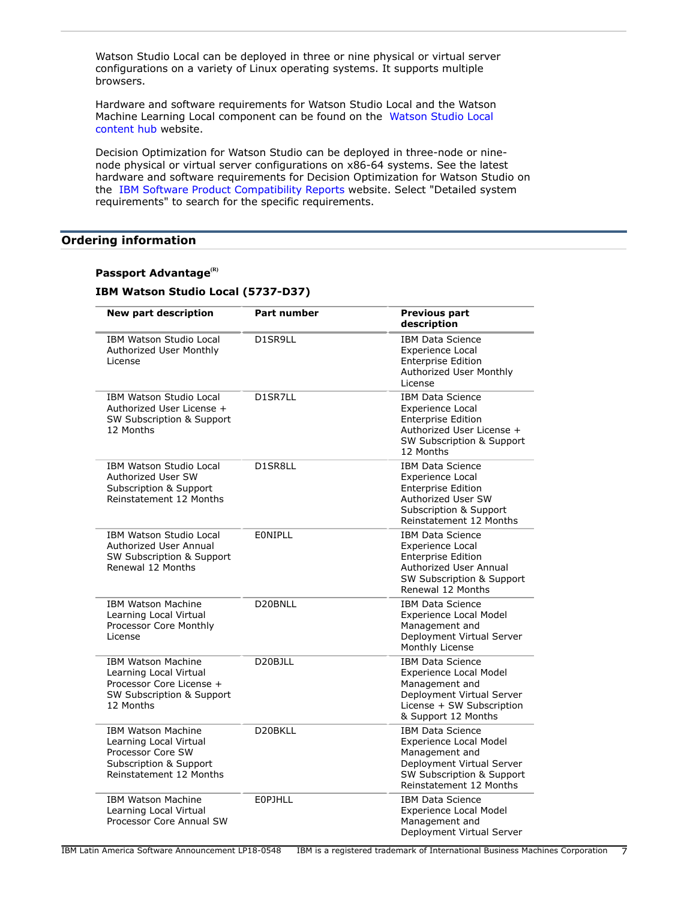Watson Studio Local can be deployed in three or nine physical or virtual server configurations on a variety of Linux operating systems. It supports multiple browsers.

Hardware and software requirements for Watson Studio Local and the Watson Machine Learning Local component can be found on the [Watson Studio Local](https://content-dsxlocal.mybluemix.net/) [content hub](https://content-dsxlocal.mybluemix.net/) website.

Decision Optimization for Watson Studio can be deployed in three-node or ninenode physical or virtual server configurations on x86-64 systems. See the latest hardware and software requirements for Decision Optimization for Watson Studio on the [IBM Software Product Compatibility Reports](https://www.ibm.com/software/reports/compatibility/clarity/index.html) website. Select "Detailed system requirements" to search for the specific requirements.

# <span id="page-6-0"></span>**Ordering information**

# **Passport Advantage(R)**

# **IBM Watson Studio Local (5737-D37)**

| New part description                                                                                                                     | Part number          | <b>Previous part</b><br>description                                                                                                                               |
|------------------------------------------------------------------------------------------------------------------------------------------|----------------------|-------------------------------------------------------------------------------------------------------------------------------------------------------------------|
| <b>IBM Watson Studio Local</b><br>Authorized User Monthly<br>License                                                                     | D1SR9LL              | <b>IBM Data Science</b><br><b>Experience Local</b><br><b>Enterprise Edition</b><br>Authorized User Monthly<br>License                                             |
| <b>IBM Watson Studio Local</b><br>Authorized User License +<br>SW Subscription & Support<br>12 Months                                    | <b>D1SR7LL</b>       | <b>IBM Data Science</b><br><b>Experience Local</b><br><b>Enterprise Edition</b><br>Authorized User License +<br><b>SW Subscription &amp; Support</b><br>12 Months |
| <b>IBM Watson Studio Local</b><br>Authorized User SW<br>Subscription & Support<br>Reinstatement 12 Months                                | D1SR8LL              | <b>IBM Data Science</b><br>Experience Local<br><b>Enterprise Edition</b><br>Authorized User SW<br>Subscription & Support<br>Reinstatement 12 Months               |
| <b>IBM Watson Studio Local</b><br>Authorized User Annual<br>SW Subscription & Support<br>Renewal 12 Months                               | EONIPLL              | <b>IBM Data Science</b><br>Experience Local<br><b>Enterprise Edition</b><br>Authorized User Annual<br>SW Subscription & Support<br>Renewal 12 Months              |
| <b>IBM Watson Machine</b><br>Learning Local Virtual<br>Processor Core Monthly<br>License                                                 | D20BNLL              | <b>IBM Data Science</b><br><b>Experience Local Model</b><br>Management and<br>Deployment Virtual Server<br>Monthly License                                        |
| <b>IBM Watson Machine</b><br>Learning Local Virtual<br>Processor Core License +<br><b>SW Subscription &amp; Support</b><br>12 Months     | D <sub>20</sub> BJLL | <b>IBM Data Science</b><br><b>Experience Local Model</b><br>Management and<br>Deployment Virtual Server<br>License + SW Subscription<br>& Support 12 Months       |
| <b>IBM Watson Machine</b><br>Learning Local Virtual<br>Processor Core SW<br><b>Subscription &amp; Support</b><br>Reinstatement 12 Months | D20BKLL              | <b>IBM Data Science</b><br>Experience Local Model<br>Management and<br>Deployment Virtual Server<br>SW Subscription & Support<br>Reinstatement 12 Months          |
| <b>IBM Watson Machine</b><br>Learning Local Virtual<br>Processor Core Annual SW                                                          | <b>EOPJHLL</b>       | <b>IBM Data Science</b><br><b>Experience Local Model</b><br>Management and<br>Deployment Virtual Server                                                           |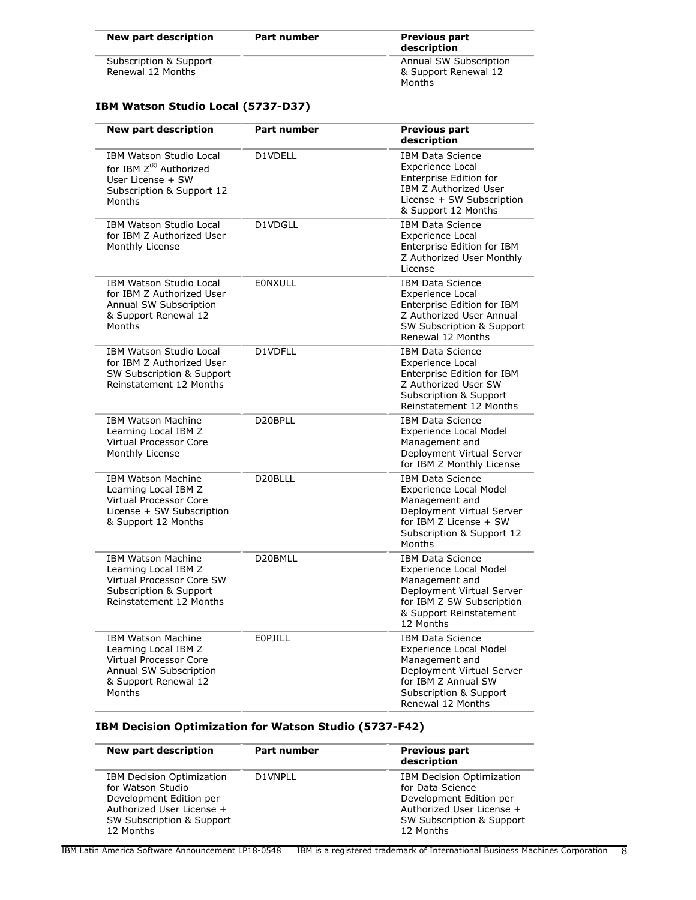| New part description   | <b>Part number</b> | <b>Previous part</b><br>description |
|------------------------|--------------------|-------------------------------------|
| Subscription & Support |                    | Annual SW Subscription              |
| Renewal 12 Months      |                    | & Support Renewal 12                |
|                        |                    | Months                              |

# **IBM Watson Studio Local (5737-D37)**

| <b>New part description</b>                                                                                                             | <b>Part number</b> | <b>Previous part</b><br>description                                                                                                                                           |
|-----------------------------------------------------------------------------------------------------------------------------------------|--------------------|-------------------------------------------------------------------------------------------------------------------------------------------------------------------------------|
| IBM Watson Studio Local<br>for IBM Z <sup>(R)</sup> Authorized<br>User License + SW<br>Subscription & Support 12<br>Months              | D1VDELL            | <b>IBM Data Science</b><br><b>Experience Local</b><br><b>Enterprise Edition for</b><br>IBM Z Authorized User<br>License + SW Subscription<br>& Support 12 Months              |
| IBM Watson Studio Local<br>for IBM Z Authorized User<br>Monthly License                                                                 | D1VDGLL            | <b>IBM Data Science</b><br>Experience Local<br>Enterprise Edition for IBM<br>Z Authorized User Monthly<br>License                                                             |
| <b>IBM Watson Studio Local</b><br>for IBM Z Authorized User<br>Annual SW Subscription<br>& Support Renewal 12<br>Months                 | <b>EONXULL</b>     | <b>IBM Data Science</b><br><b>Experience Local</b><br>Enterprise Edition for IBM<br>Z Authorized User Annual<br>SW Subscription & Support<br>Renewal 12 Months                |
| <b>IBM Watson Studio Local</b><br>for IBM Z Authorized User<br>SW Subscription & Support<br>Reinstatement 12 Months                     | D1VDFLL            | <b>IBM Data Science</b><br>Experience Local<br>Enterprise Edition for IBM<br>Z Authorized User SW<br>Subscription & Support<br>Reinstatement 12 Months                        |
| <b>IBM Watson Machine</b><br>Learning Local IBM Z<br>Virtual Processor Core<br>Monthly License                                          | D20BPLL            | <b>IBM Data Science</b><br><b>Experience Local Model</b><br>Management and<br>Deployment Virtual Server<br>for IBM Z Monthly License                                          |
| <b>IBM Watson Machine</b><br>Learning Local IBM Z<br>Virtual Processor Core<br>License + SW Subscription<br>& Support 12 Months         | D20BLLL            | <b>IBM Data Science</b><br><b>Experience Local Model</b><br>Management and<br>Deployment Virtual Server<br>for IBM Z License + SW<br>Subscription & Support 12<br>Months      |
| <b>IBM Watson Machine</b><br>Learning Local IBM Z<br>Virtual Processor Core SW<br>Subscription & Support<br>Reinstatement 12 Months     | D20BMLL            | <b>IBM Data Science</b><br><b>Experience Local Model</b><br>Management and<br>Deployment Virtual Server<br>for IBM Z SW Subscription<br>& Support Reinstatement<br>12 Months  |
| <b>IBM Watson Machine</b><br>Learning Local IBM Z<br>Virtual Processor Core<br>Annual SW Subscription<br>& Support Renewal 12<br>Months | <b>EOPJILL</b>     | <b>IBM Data Science</b><br><b>Experience Local Model</b><br>Management and<br>Deployment Virtual Server<br>for IBM Z Annual SW<br>Subscription & Support<br>Renewal 12 Months |

# **IBM Decision Optimization for Watson Studio (5737-F42)**

| New part description                                                                                                                                    | Part number | <b>Previous part</b><br>description                                                                                                                    |
|---------------------------------------------------------------------------------------------------------------------------------------------------------|-------------|--------------------------------------------------------------------------------------------------------------------------------------------------------|
| <b>IBM Decision Optimization</b><br>for Watson Studio<br>Development Edition per<br>Authorized User License +<br>SW Subscription & Support<br>12 Months | D1VNPLL     | <b>IBM Decision Optimization</b><br>for Data Science<br>Development Edition per<br>Authorized User License +<br>SW Subscription & Support<br>12 Months |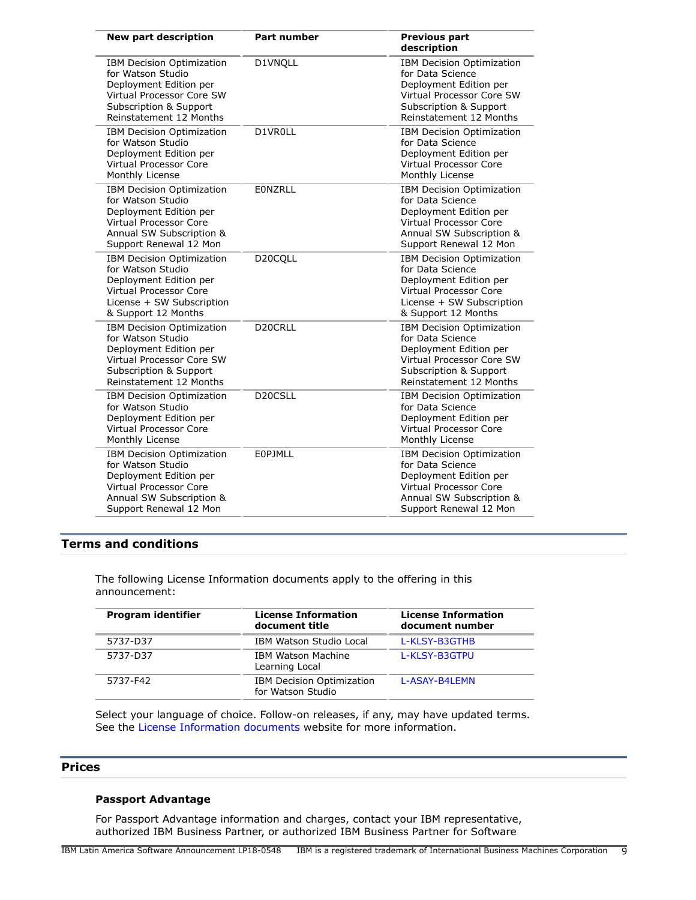| <b>New part description</b>                                                                                                                                            | Part number          | <b>Previous part</b><br>description                                                                                                                                   |
|------------------------------------------------------------------------------------------------------------------------------------------------------------------------|----------------------|-----------------------------------------------------------------------------------------------------------------------------------------------------------------------|
| <b>IBM Decision Optimization</b><br>for Watson Studio<br>Deployment Edition per<br>Virtual Processor Core SW<br>Subscription & Support<br>Reinstatement 12 Months      | D1VNQLL              | <b>IBM Decision Optimization</b><br>for Data Science<br>Deployment Edition per<br>Virtual Processor Core SW<br>Subscription & Support<br>Reinstatement 12 Months      |
| IBM Decision Optimization<br>for Watson Studio<br>Deployment Edition per<br>Virtual Processor Core<br>Monthly License                                                  | D1VR0LL              | IBM Decision Optimization<br>for Data Science<br>Deployment Edition per<br>Virtual Processor Core<br>Monthly License                                                  |
| IBM Decision Optimization<br>for Watson Studio<br>Deployment Edition per<br><b>Virtual Processor Core</b><br>Annual SW Subscription &<br>Support Renewal 12 Mon        | <b>EONZRLL</b>       | <b>IBM Decision Optimization</b><br>for Data Science<br>Deployment Edition per<br><b>Virtual Processor Core</b><br>Annual SW Subscription &<br>Support Renewal 12 Mon |
| <b>IBM Decision Optimization</b><br>for Watson Studio<br>Deployment Edition per<br><b>Virtual Processor Core</b><br>License + SW Subscription<br>& Support 12 Months   | D20CQLL              | <b>IBM Decision Optimization</b><br>for Data Science<br>Deployment Edition per<br><b>Virtual Processor Core</b><br>License + SW Subscription<br>& Support 12 Months   |
| IBM Decision Optimization<br>for Watson Studio<br>Deployment Edition per<br>Virtual Processor Core SW<br>Subscription & Support<br>Reinstatement 12 Months             | D20CRLL              | IBM Decision Optimization<br>for Data Science<br>Deployment Edition per<br>Virtual Processor Core SW<br>Subscription & Support<br>Reinstatement 12 Months             |
| IBM Decision Optimization<br>for Watson Studio<br>Deployment Edition per<br><b>Virtual Processor Core</b><br>Monthly License                                           | D <sub>20</sub> CSLL | IBM Decision Optimization<br>for Data Science<br>Deployment Edition per<br><b>Virtual Processor Core</b><br>Monthly License                                           |
| <b>IBM Decision Optimization</b><br>for Watson Studio<br>Deployment Edition per<br><b>Virtual Processor Core</b><br>Annual SW Subscription &<br>Support Renewal 12 Mon | <b>EOPJMLL</b>       | <b>IBM Decision Optimization</b><br>for Data Science<br>Deployment Edition per<br><b>Virtual Processor Core</b><br>Annual SW Subscription &<br>Support Renewal 12 Mon |

# <span id="page-8-0"></span>**Terms and conditions**

The following License Information documents apply to the offering in this announcement:

| Program identifier | <b>License Information</b><br>document title          | <b>License Information</b><br>document number |
|--------------------|-------------------------------------------------------|-----------------------------------------------|
| 5737-D37           | IBM Watson Studio Local                               | L-KLSY-B3GTHB                                 |
| 5737-D37           | <b>IBM Watson Machine</b><br>Learning Local           | L-KLSY-B3GTPU                                 |
| 5737-F42           | <b>IBM Decision Optimization</b><br>for Watson Studio | L-ASAY-B4LEMN                                 |

Select your language of choice. Follow-on releases, if any, may have updated terms. See the [License Information documents](https://www.ibm.com/software/sla/sladb.nsf/search?OpenForm) website for more information.

### <span id="page-8-1"></span>**Prices**

# **Passport Advantage**

For Passport Advantage information and charges, contact your IBM representative, authorized IBM Business Partner, or authorized IBM Business Partner for Software